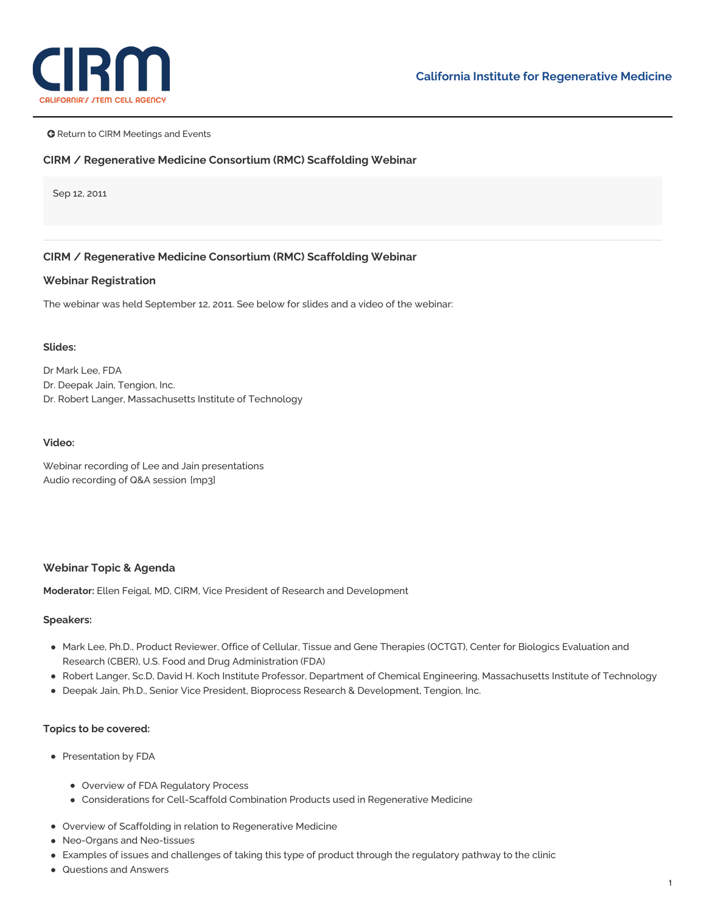

**G** Return to CIRM Meetings and Events

### **CIRM / Regenerative Medicine Consortium (RMC) Scaffolding Webinar**

Sep 12, 2011

# **CIRM / Regenerative Medicine Consortium (RMC) Scaffolding Webinar**

#### **Webinar Registration**

The webinar was held September 12, 2011. See below for slides and a video of the webinar:

#### **Slides:**

Dr [Mark](https://www.cirm.ca.gov/sites/default/files/files/agenda/Lee_Regulation_Combo_Products_RegenMed_2011_0912.pdf) Lee, FDA Dr. Deepak Jain, [Tengion,](https://www.cirm.ca.gov/sites/default/files/files/agenda/Jain_Webinar_2011_0912.pdf) Inc. Dr. Robert Langer, [Massachusetts](https://www.cirm.ca.gov/sites/default/files/files/agenda/Langer_FDA-CIRM_Webinar.pdf) Institute of Technology

#### **Video:**

Webinar recording of Lee and Jain [presentations](https://cirm.webex.com/cirm/lsr.php?RCID=2e1fed16d7ae1da275fe2eca41286873) Audio [recording](https://www.cirm.ca.gov/sites/default/files/files/agenda/Scaffolding%20Webinar_QA.mp3) of Q&A session [mp3]

### **Webinar Topic & Agenda**

**Moderator:** Ellen Feigal, MD, CIRM, Vice President of Research and Development

### **Speakers:**

- Mark Lee, Ph.D., Product Reviewer, Office of Cellular, Tissue and Gene Therapies (OCTGT), Center for Biologics Evaluation and Research (CBER), U.S. Food and Drug Administration (FDA)
- Robert Langer, Sc.D, David H. Koch Institute Professor, Department of Chemical Engineering, Massachusetts Institute of Technology
- Deepak Jain, Ph.D., Senior Vice President, Bioprocess Research & Development, Tengion, Inc.

### **Topics to be covered:**

- Presentation by FDA
	- Overview of FDA Regulatory Process
	- Considerations for Cell-Scaffold Combination Products used in Regenerative Medicine
- Overview of Scaffolding in relation to Regenerative Medicine
- Neo-Organs and Neo-tissues
- Examples of issues and challenges of taking this type of product through the regulatory pathway to the clinic
- Questions and Answers